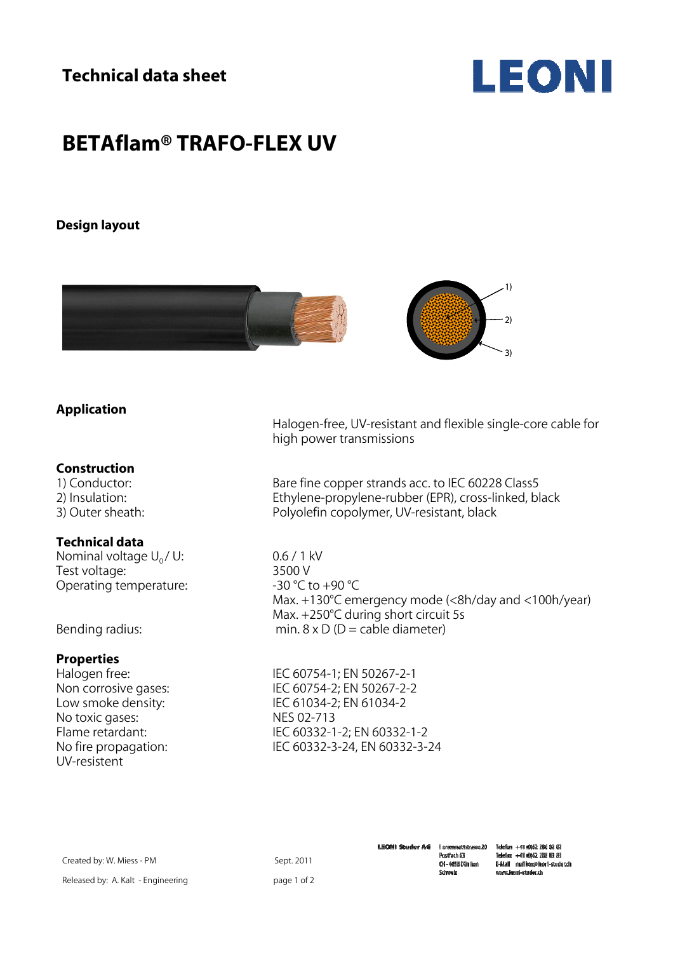**Technical data sheet** 



# **BETAflam® TRAFO-FLEX UV**

### **Design layout**



## **Application**

#### **Construction**

#### **Technical data**

Nominal voltage  $U_0 / U$ : 0.6 / 1 kV<br>Test voltage: 3500 V Test voltage:  $\frac{3500 \text{ V}}{2500 \text{ V}}$ <br>Operating temperature:  $\frac{3500 \text{ V}}{250 \text{ V}}$ Operating temperature:

### **Properties**

No toxic gases: NES 02-713<br>Flame retardant: NEC 60332-1 UV-resistent

 Halogen-free, UV-resistant and flexible single-core cable for high power transmissions

1) Conductor: <br>
2) Insulation: The Bare fine copper strands acc. to IEC 60228 Class5<br>
2) Insulation: Ethylene-propylene-rubber (EPR), cross-linked, bl Ethylene-propylene-rubber (EPR), cross-linked, black 3) Outer sheath: Polyolefin copolymer, UV-resistant, black

 Max. +130°C emergency mode (<8h/day and <100h/year) Max. +250°C during short circuit 5s<br>
Max. +250°C during short circuit 5s<br>
min. 8 x D (D = cable diameter) min.  $8 \times D$  (D = cable diameter)

Halogen free:IEC 60754-1; EN 50267-2-1 IEC 60754-2; EN 50267-2-2 Low smoke density: IEC 61034-2; EN 61034-2 IEC 60332-1-2; EN 60332-1-2 No fire propagation: IEC 60332-3-24, EN 60332-3-24

Created by: W. Miess - PM Released by: A. Kalt - Engineering

Sept. 2011 page 1 of 2 **LEONI Studer AG** l errenmattstrasse20 Postlach 63 CH-4658Däniken Schweiz

Telefon +41 (0)62 288 82 82 Telefax +41 (0)62 288 83 83 E-Mail mailboz@leori-studench www.leoni-studer.ch